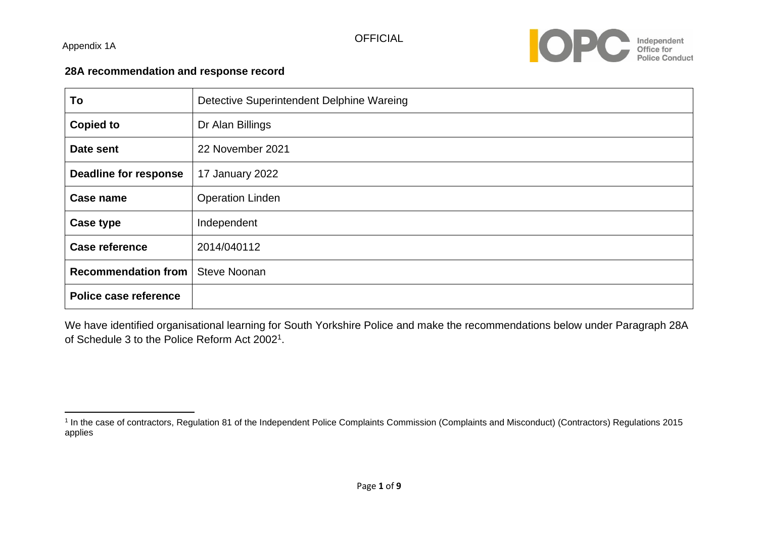Appendix 1A



#### **28A recommendation and response record**

| To                           | Detective Superintendent Delphine Wareing |
|------------------------------|-------------------------------------------|
| <b>Copied to</b>             | Dr Alan Billings                          |
| Date sent                    | 22 November 2021                          |
| <b>Deadline for response</b> | 17 January 2022                           |
| Case name                    | <b>Operation Linden</b>                   |
| Case type                    | Independent                               |
| <b>Case reference</b>        | 2014/040112                               |
| <b>Recommendation from</b>   | <b>Steve Noonan</b>                       |
| Police case reference        |                                           |

We have identified organisational learning for South Yorkshire Police and make the recommendations below under Paragraph 28A of Schedule 3 to the Police Reform Act 2002<sup>1</sup>.

<sup>&</sup>lt;sup>1</sup> In the case of contractors, Regulation 81 of the Independent Police Complaints Commission (Complaints and Misconduct) (Contractors) Regulations 2015 applies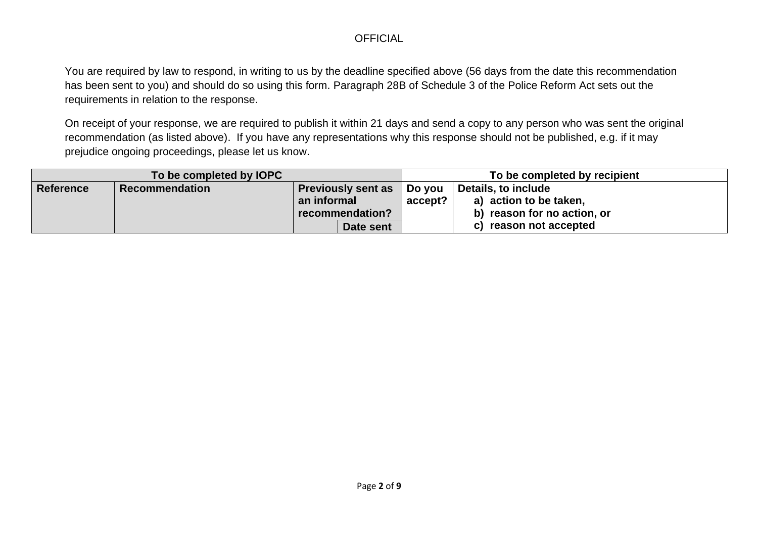You are required by law to respond, in writing to us by the deadline specified above (56 days from the date this recommendation has been sent to you) and should do so using this form. Paragraph 28B of Schedule 3 of the Police Reform Act sets out the requirements in relation to the response.

On receipt of your response, we are required to publish it within 21 days and send a copy to any person who was sent the original recommendation (as listed above). If you have any representations why this response should not be published, e.g. if it may prejudice ongoing proceedings, please let us know.

|                  | To be completed by IOPC |                           |         | To be completed by recipient |
|------------------|-------------------------|---------------------------|---------|------------------------------|
| <b>Reference</b> | <b>Recommendation</b>   | <b>Previously sent as</b> | Do you  | Details, to include          |
|                  |                         | an informal               | accept? | a) action to be taken,       |
|                  |                         | recommendation?           |         | b) reason for no action, or  |
|                  |                         | Date sent                 |         | c) reason not accepted       |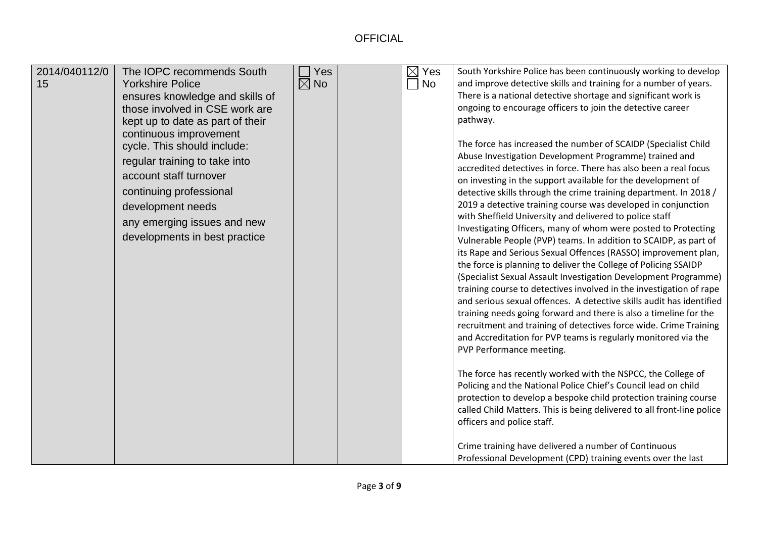| 2014/040112/0<br>15 | The IOPC recommends South<br><b>Yorkshire Police</b><br>ensures knowledge and skills of<br>those involved in CSE work are<br>kept up to date as part of their<br>continuous improvement<br>cycle. This should include:<br>regular training to take into<br>account staff turnover<br>continuing professional<br>development needs<br>any emerging issues and new<br>developments in best practice | Yes<br>$\boxtimes$ No |  | $\boxtimes$ Yes<br>$\Box$ No | South Yorkshire Police has been continuously working to develop<br>and improve detective skills and training for a number of years.<br>There is a national detective shortage and significant work is<br>ongoing to encourage officers to join the detective career<br>pathway.<br>The force has increased the number of SCAIDP (Specialist Child<br>Abuse Investigation Development Programme) trained and<br>accredited detectives in force. There has also been a real focus<br>on investing in the support available for the development of<br>detective skills through the crime training department. In 2018 /<br>2019 a detective training course was developed in conjunction<br>with Sheffield University and delivered to police staff<br>Investigating Officers, many of whom were posted to Protecting<br>Vulnerable People (PVP) teams. In addition to SCAIDP, as part of<br>its Rape and Serious Sexual Offences (RASSO) improvement plan,<br>the force is planning to deliver the College of Policing SSAIDP<br>(Specialist Sexual Assault Investigation Development Programme)<br>training course to detectives involved in the investigation of rape<br>and serious sexual offences. A detective skills audit has identified<br>training needs going forward and there is also a timeline for the<br>recruitment and training of detectives force wide. Crime Training<br>and Accreditation for PVP teams is regularly monitored via the<br>PVP Performance meeting.<br>The force has recently worked with the NSPCC, the College of<br>Policing and the National Police Chief's Council lead on child<br>protection to develop a bespoke child protection training course<br>called Child Matters. This is being delivered to all front-line police<br>officers and police staff.<br>Crime training have delivered a number of Continuous<br>Professional Development (CPD) training events over the last |
|---------------------|---------------------------------------------------------------------------------------------------------------------------------------------------------------------------------------------------------------------------------------------------------------------------------------------------------------------------------------------------------------------------------------------------|-----------------------|--|------------------------------|-----------------------------------------------------------------------------------------------------------------------------------------------------------------------------------------------------------------------------------------------------------------------------------------------------------------------------------------------------------------------------------------------------------------------------------------------------------------------------------------------------------------------------------------------------------------------------------------------------------------------------------------------------------------------------------------------------------------------------------------------------------------------------------------------------------------------------------------------------------------------------------------------------------------------------------------------------------------------------------------------------------------------------------------------------------------------------------------------------------------------------------------------------------------------------------------------------------------------------------------------------------------------------------------------------------------------------------------------------------------------------------------------------------------------------------------------------------------------------------------------------------------------------------------------------------------------------------------------------------------------------------------------------------------------------------------------------------------------------------------------------------------------------------------------------------------------------------------------------------------------------------------------------------------------------|
|---------------------|---------------------------------------------------------------------------------------------------------------------------------------------------------------------------------------------------------------------------------------------------------------------------------------------------------------------------------------------------------------------------------------------------|-----------------------|--|------------------------------|-----------------------------------------------------------------------------------------------------------------------------------------------------------------------------------------------------------------------------------------------------------------------------------------------------------------------------------------------------------------------------------------------------------------------------------------------------------------------------------------------------------------------------------------------------------------------------------------------------------------------------------------------------------------------------------------------------------------------------------------------------------------------------------------------------------------------------------------------------------------------------------------------------------------------------------------------------------------------------------------------------------------------------------------------------------------------------------------------------------------------------------------------------------------------------------------------------------------------------------------------------------------------------------------------------------------------------------------------------------------------------------------------------------------------------------------------------------------------------------------------------------------------------------------------------------------------------------------------------------------------------------------------------------------------------------------------------------------------------------------------------------------------------------------------------------------------------------------------------------------------------------------------------------------------------|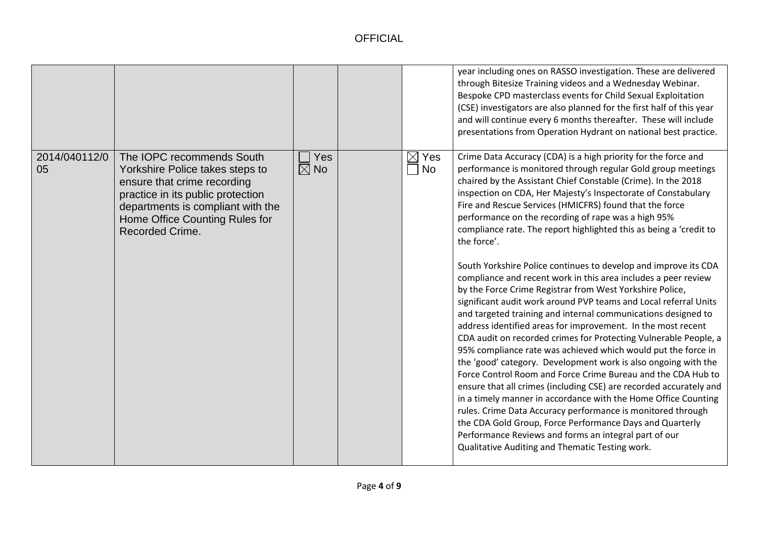|                     |                                                                                                                                                                                                                                   |                                         |                       | year including ones on RASSO investigation. These are delivered<br>through Bitesize Training videos and a Wednesday Webinar.<br>Bespoke CPD masterclass events for Child Sexual Exploitation<br>(CSE) investigators are also planned for the first half of this year<br>and will continue every 6 months thereafter. These will include<br>presentations from Operation Hydrant on national best practice.                                                                                                                                                                                                                                                                                                                                                                                                                                                                                                                                                                                                                                                                                                                                                                                                                                                                                                                                                                                                                                                                                                                          |
|---------------------|-----------------------------------------------------------------------------------------------------------------------------------------------------------------------------------------------------------------------------------|-----------------------------------------|-----------------------|-------------------------------------------------------------------------------------------------------------------------------------------------------------------------------------------------------------------------------------------------------------------------------------------------------------------------------------------------------------------------------------------------------------------------------------------------------------------------------------------------------------------------------------------------------------------------------------------------------------------------------------------------------------------------------------------------------------------------------------------------------------------------------------------------------------------------------------------------------------------------------------------------------------------------------------------------------------------------------------------------------------------------------------------------------------------------------------------------------------------------------------------------------------------------------------------------------------------------------------------------------------------------------------------------------------------------------------------------------------------------------------------------------------------------------------------------------------------------------------------------------------------------------------|
| 2014/040112/0<br>05 | The IOPC recommends South<br>Yorkshire Police takes steps to<br>ensure that crime recording<br>practice in its public protection<br>departments is compliant with the<br>Home Office Counting Rules for<br><b>Recorded Crime.</b> | Yes<br>$\blacksquare$<br>$\boxtimes$ No | $\boxtimes$ Yes<br>No | Crime Data Accuracy (CDA) is a high priority for the force and<br>performance is monitored through regular Gold group meetings<br>chaired by the Assistant Chief Constable (Crime). In the 2018<br>inspection on CDA, Her Majesty's Inspectorate of Constabulary<br>Fire and Rescue Services (HMICFRS) found that the force<br>performance on the recording of rape was a high 95%<br>compliance rate. The report highlighted this as being a 'credit to<br>the force'.<br>South Yorkshire Police continues to develop and improve its CDA<br>compliance and recent work in this area includes a peer review<br>by the Force Crime Registrar from West Yorkshire Police,<br>significant audit work around PVP teams and Local referral Units<br>and targeted training and internal communications designed to<br>address identified areas for improvement. In the most recent<br>CDA audit on recorded crimes for Protecting Vulnerable People, a<br>95% compliance rate was achieved which would put the force in<br>the 'good' category. Development work is also ongoing with the<br>Force Control Room and Force Crime Bureau and the CDA Hub to<br>ensure that all crimes (including CSE) are recorded accurately and<br>in a timely manner in accordance with the Home Office Counting<br>rules. Crime Data Accuracy performance is monitored through<br>the CDA Gold Group, Force Performance Days and Quarterly<br>Performance Reviews and forms an integral part of our<br>Qualitative Auditing and Thematic Testing work. |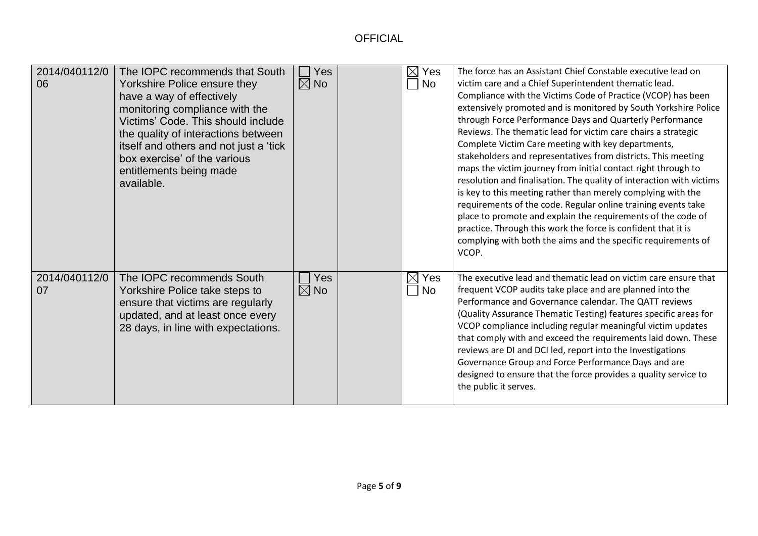| 2014/040112/0<br>06 | The IOPC recommends that South<br>Yorkshire Police ensure they<br>have a way of effectively<br>monitoring compliance with the<br>Victims' Code. This should include<br>the quality of interactions between<br>itself and others and not just a 'tick<br>box exercise' of the various<br>entitlements being made<br>available. | Yes<br>$\boxtimes$ No | $\boxtimes$ Yes<br>No    | The force has an Assistant Chief Constable executive lead on<br>victim care and a Chief Superintendent thematic lead.<br>Compliance with the Victims Code of Practice (VCOP) has been<br>extensively promoted and is monitored by South Yorkshire Police<br>through Force Performance Days and Quarterly Performance<br>Reviews. The thematic lead for victim care chairs a strategic<br>Complete Victim Care meeting with key departments,<br>stakeholders and representatives from districts. This meeting<br>maps the victim journey from initial contact right through to<br>resolution and finalisation. The quality of interaction with victims<br>is key to this meeting rather than merely complying with the<br>requirements of the code. Regular online training events take<br>place to promote and explain the requirements of the code of<br>practice. Through this work the force is confident that it is<br>complying with both the aims and the specific requirements of<br>VCOP. |
|---------------------|-------------------------------------------------------------------------------------------------------------------------------------------------------------------------------------------------------------------------------------------------------------------------------------------------------------------------------|-----------------------|--------------------------|---------------------------------------------------------------------------------------------------------------------------------------------------------------------------------------------------------------------------------------------------------------------------------------------------------------------------------------------------------------------------------------------------------------------------------------------------------------------------------------------------------------------------------------------------------------------------------------------------------------------------------------------------------------------------------------------------------------------------------------------------------------------------------------------------------------------------------------------------------------------------------------------------------------------------------------------------------------------------------------------------|
| 2014/040112/0<br>07 | The IOPC recommends South<br>Yorkshire Police take steps to<br>ensure that victims are regularly<br>updated, and at least once every<br>28 days, in line with expectations.                                                                                                                                                   | Yes<br>$\boxtimes$ No | $\boxtimes$<br>Yes<br>No | The executive lead and thematic lead on victim care ensure that<br>frequent VCOP audits take place and are planned into the<br>Performance and Governance calendar. The QATT reviews<br>(Quality Assurance Thematic Testing) features specific areas for<br>VCOP compliance including regular meaningful victim updates<br>that comply with and exceed the requirements laid down. These<br>reviews are DI and DCI led, report into the Investigations<br>Governance Group and Force Performance Days and are<br>designed to ensure that the force provides a quality service to<br>the public it serves.                                                                                                                                                                                                                                                                                                                                                                                         |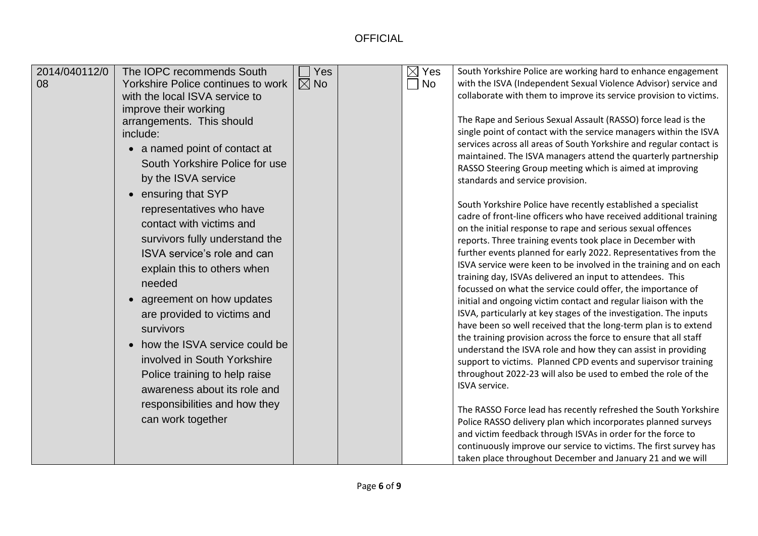| responsibilities and how they<br>The RASSO Force lead has recently refreshed the South Yorkshire<br>can work together<br>Police RASSO delivery plan which incorporates planned surveys<br>and victim feedback through ISVAs in order for the force to | agreement on how updates<br>initial and ongoing victim contact and regular liaison with the<br>ISVA, particularly at key stages of the investigation. The inputs<br>are provided to victims and<br>have been so well received that the long-term plan is to extend<br>survivors<br>the training provision across the force to ensure that all staff<br>how the ISVA service could be<br>understand the ISVA role and how they can assist in providing<br>involved in South Yorkshire<br>support to victims. Planned CPD events and supervisor training<br>throughout 2022-23 will also be used to embed the role of the<br>Police training to help raise<br>ISVA service.<br>awareness about its role and<br>continuously improve our service to victims. The first survey has |
|-------------------------------------------------------------------------------------------------------------------------------------------------------------------------------------------------------------------------------------------------------|--------------------------------------------------------------------------------------------------------------------------------------------------------------------------------------------------------------------------------------------------------------------------------------------------------------------------------------------------------------------------------------------------------------------------------------------------------------------------------------------------------------------------------------------------------------------------------------------------------------------------------------------------------------------------------------------------------------------------------------------------------------------------------|
|-------------------------------------------------------------------------------------------------------------------------------------------------------------------------------------------------------------------------------------------------------|--------------------------------------------------------------------------------------------------------------------------------------------------------------------------------------------------------------------------------------------------------------------------------------------------------------------------------------------------------------------------------------------------------------------------------------------------------------------------------------------------------------------------------------------------------------------------------------------------------------------------------------------------------------------------------------------------------------------------------------------------------------------------------|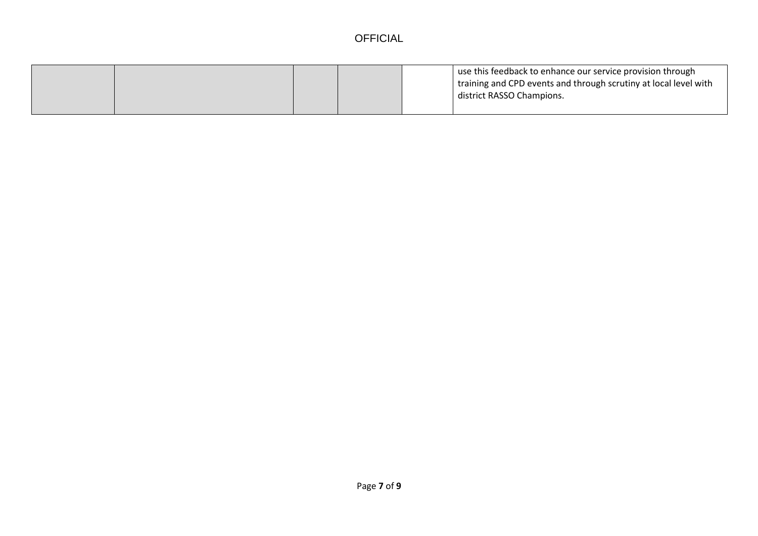|  |  | use this feedback to enhance our service provision through<br>I training and CPD events and through scrutiny at local level with<br>district RASSO Champions. |
|--|--|---------------------------------------------------------------------------------------------------------------------------------------------------------------|
|  |  |                                                                                                                                                               |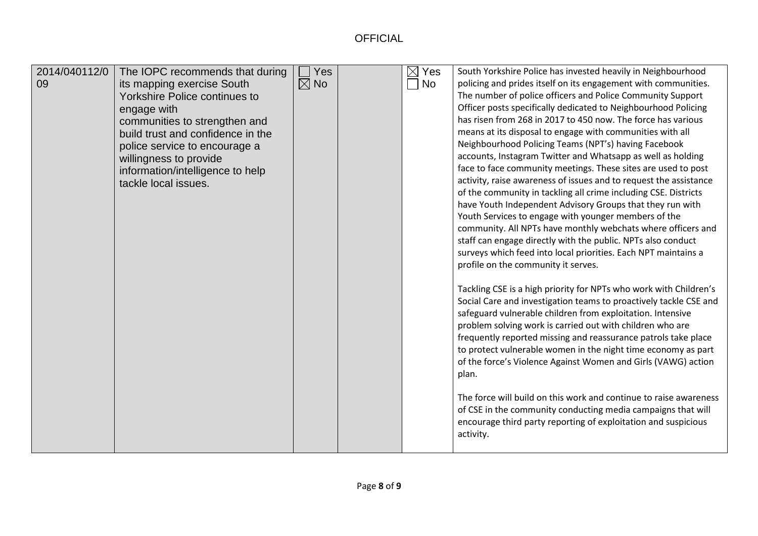| 2014/040112/0 | The IOPC recommends that during      | Yes            | $\boxtimes$ Yes | South Yorkshire Police has invested heavily in Neighbourhood      |
|---------------|--------------------------------------|----------------|-----------------|-------------------------------------------------------------------|
| 09            | its mapping exercise South           | $\boxtimes$ No | No              | policing and prides itself on its engagement with communities.    |
|               | <b>Yorkshire Police continues to</b> |                |                 | The number of police officers and Police Community Support        |
|               | engage with                          |                |                 | Officer posts specifically dedicated to Neighbourhood Policing    |
|               | communities to strengthen and        |                |                 | has risen from 268 in 2017 to 450 now. The force has various      |
|               | build trust and confidence in the    |                |                 | means at its disposal to engage with communities with all         |
|               | police service to encourage a        |                |                 | Neighbourhood Policing Teams (NPT's) having Facebook              |
|               | willingness to provide               |                |                 | accounts, Instagram Twitter and Whatsapp as well as holding       |
|               | information/intelligence to help     |                |                 | face to face community meetings. These sites are used to post     |
|               | tackle local issues.                 |                |                 | activity, raise awareness of issues and to request the assistance |
|               |                                      |                |                 | of the community in tackling all crime including CSE. Districts   |
|               |                                      |                |                 | have Youth Independent Advisory Groups that they run with         |
|               |                                      |                |                 | Youth Services to engage with younger members of the              |
|               |                                      |                |                 | community. All NPTs have monthly webchats where officers and      |
|               |                                      |                |                 | staff can engage directly with the public. NPTs also conduct      |
|               |                                      |                |                 | surveys which feed into local priorities. Each NPT maintains a    |
|               |                                      |                |                 | profile on the community it serves.                               |
|               |                                      |                |                 |                                                                   |
|               |                                      |                |                 | Tackling CSE is a high priority for NPTs who work with Children's |
|               |                                      |                |                 | Social Care and investigation teams to proactively tackle CSE and |
|               |                                      |                |                 | safeguard vulnerable children from exploitation. Intensive        |
|               |                                      |                |                 | problem solving work is carried out with children who are         |
|               |                                      |                |                 | frequently reported missing and reassurance patrols take place    |
|               |                                      |                |                 | to protect vulnerable women in the night time economy as part     |
|               |                                      |                |                 | of the force's Violence Against Women and Girls (VAWG) action     |
|               |                                      |                |                 | plan.                                                             |
|               |                                      |                |                 |                                                                   |
|               |                                      |                |                 | The force will build on this work and continue to raise awareness |
|               |                                      |                |                 | of CSE in the community conducting media campaigns that will      |
|               |                                      |                |                 | encourage third party reporting of exploitation and suspicious    |
|               |                                      |                |                 | activity.                                                         |
|               |                                      |                |                 |                                                                   |